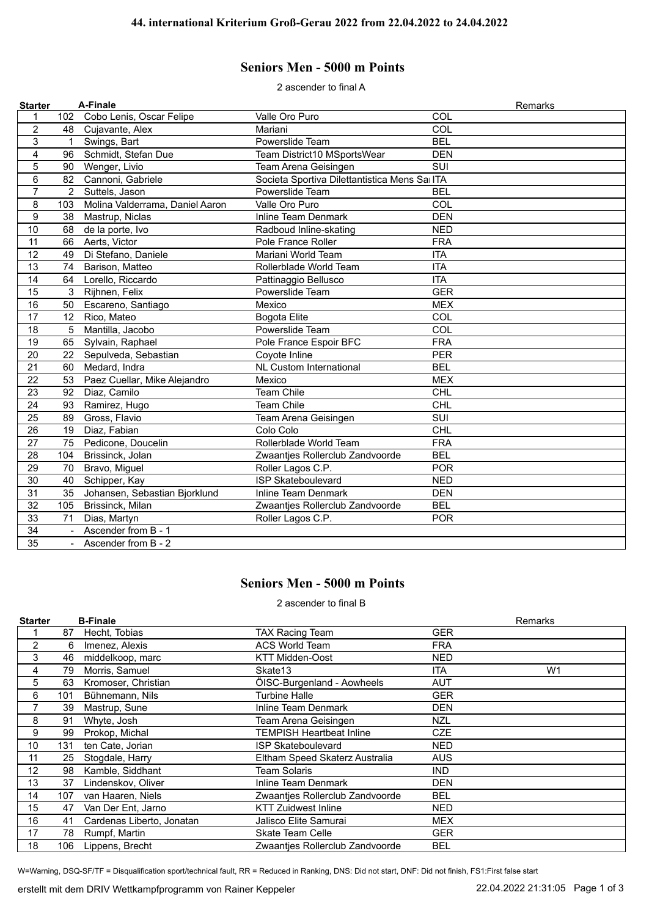## **Seniors Men - 5000 m Points**

2 ascender to final A

| <b>Starter</b>  |                 | A-Finale                        |                                              | Remarks    |
|-----------------|-----------------|---------------------------------|----------------------------------------------|------------|
| 1               | 102             | Cobo Lenis, Oscar Felipe        | Valle Oro Puro                               | COL        |
| $\overline{2}$  | 48              | Cujavante, Alex                 | Mariani                                      | COL        |
| 3               | 1               | Swings, Bart                    | Powerslide Team                              | <b>BEL</b> |
| 4               | 96              | Schmidt, Stefan Due             | Team District10 MSportsWear                  | <b>DEN</b> |
| 5               | 90              | Wenger, Livio                   | Team Arena Geisingen                         | SUI        |
| $6\phantom{1}6$ | 82              | Cannoni, Gabriele               | Societa Sportiva Dilettantistica Mens Sa ITA |            |
| $\overline{7}$  | $\overline{2}$  | Suttels, Jason                  | Powerslide Team                              | <b>BEL</b> |
| 8               | 103             | Molina Valderrama, Daniel Aaron | Valle Oro Puro                               | COL        |
| 9               | 38              | Mastrup, Niclas                 | <b>Inline Team Denmark</b>                   | <b>DEN</b> |
| 10              | 68              | de la porte, Ivo                | Radboud Inline-skating                       | <b>NED</b> |
| 11              | 66              | Aerts, Victor                   | Pole France Roller                           | <b>FRA</b> |
| 12              | 49              | Di Stefano, Daniele             | Mariani World Team                           | <b>ITA</b> |
| 13              | 74              | Barison, Matteo                 | Rollerblade World Team                       | <b>ITA</b> |
| 14              | 64              | Lorello, Riccardo               | Pattinaggio Bellusco                         | <b>ITA</b> |
| 15              | 3               | Rijhnen, Felix                  | Powerslide Team                              | <b>GER</b> |
| 16              | 50              | Escareno, Santiago              | Mexico                                       | <b>MEX</b> |
| 17              | 12 <sup>2</sup> | Rico, Mateo                     | <b>Bogota Elite</b>                          | COL        |
| 18              | 5               | Mantilla, Jacobo                | Powerslide Team                              | COL        |
| 19              | 65              | Sylvain, Raphael                | Pole France Espoir BFC                       | <b>FRA</b> |
| 20              | 22              | Sepulveda, Sebastian            | Coyote Inline                                | <b>PER</b> |
| 21              | 60              | Medard, Indra                   | <b>NL Custom International</b>               | <b>BEL</b> |
| 22              | 53              | Paez Cuellar, Mike Alejandro    | Mexico                                       | <b>MEX</b> |
| 23              | 92              | Diaz, Camilo                    | <b>Team Chile</b>                            | <b>CHL</b> |
| 24              | 93              | Ramirez, Hugo                   | <b>Team Chile</b>                            | <b>CHL</b> |
| 25              | 89              | Gross, Flavio                   | Team Arena Geisingen                         | SUI        |
| 26              | 19              | Diaz, Fabian                    | Colo Colo                                    | CHL        |
| 27              |                 | 75 Pedicone, Doucelin           | Rollerblade World Team                       | <b>FRA</b> |
| 28              | 104             | Brissinck, Jolan                | Zwaantjes Rollerclub Zandvoorde              | <b>BEL</b> |
| 29              | 70              | Bravo, Miguel                   | Roller Lagos C.P.                            | <b>POR</b> |
| 30              | 40              | Schipper, Kay                   | <b>ISP Skateboulevard</b>                    | <b>NED</b> |
| 31              | 35              | Johansen, Sebastian Bjorklund   | <b>Inline Team Denmark</b>                   | <b>DEN</b> |
| 32              | 105             | Brissinck, Milan                | Zwaantjes Rollerclub Zandvoorde              | <b>BEL</b> |
| 33              | 71              | Dias, Martyn                    | Roller Lagos C.P.                            | <b>POR</b> |
| 34              | $\blacksquare$  | Ascender from B - 1             |                                              |            |
| $\overline{35}$ | $\sim$          | Ascender from B - 2             |                                              |            |

## **Seniors Men - 5000 m Points**

2 ascender to final B

| <b>Starter</b> |     | <b>B-Finale</b>           |                                 |            | <b>Remarks</b> |
|----------------|-----|---------------------------|---------------------------------|------------|----------------|
|                | 87  | Hecht, Tobias             | <b>TAX Racing Team</b>          | GER        |                |
| $\overline{2}$ | 6   | Imenez, Alexis            | <b>ACS World Team</b>           | <b>FRA</b> |                |
| 3              | 46  | middelkoop, marc          | <b>KTT Midden-Oost</b>          | NED        |                |
| 4              | 79  | Morris, Samuel            | Skate13                         | <b>ITA</b> | W <sub>1</sub> |
| 5              | 63  | Kromoser, Christian       | ÖISC-Burgenland - Aowheels      | AUT        |                |
| 6              | 101 | Bühnemann, Nils           | <b>Turbine Halle</b>            | <b>GER</b> |                |
| 7              | 39  | Mastrup, Sune             | Inline Team Denmark             | DEN        |                |
| 8              | 91  | Whyte, Josh               | Team Arena Geisingen            | NZL        |                |
| 9              | 99  | Prokop, Michal            | TEMPISH Heartbeat Inline        | <b>CZE</b> |                |
| 10             | 131 | ten Cate, Jorian          | <b>ISP Skateboulevard</b>       | NED        |                |
| 11             | 25  | Stogdale, Harry           | Eltham Speed Skaterz Australia  | <b>AUS</b> |                |
| 12             | 98  | Kamble, Siddhant          | Team Solaris                    | <b>IND</b> |                |
| 13             | 37  | Lindenskov, Oliver        | Inline Team Denmark             | DEN        |                |
| 14             | 107 | van Haaren, Niels         | Zwaantjes Rollerclub Zandvoorde | <b>BEL</b> |                |
| 15             | 47  | Van Der Ent, Jarno        | <b>KTT Zuidwest Inline</b>      | NED        |                |
| 16             | 41  | Cardenas Liberto, Jonatan | Jalisco Elite Samurai           | MEX        |                |
| 17             | 78  | Rumpf, Martin             | <b>Skate Team Celle</b>         | <b>GER</b> |                |
| 18             | 106 | Lippens, Brecht           | Zwaanties Rollerclub Zandvoorde | <b>BEL</b> |                |

W=Warning, DSQ-SF/TF = Disqualification sport/technical fault, RR = Reduced in Ranking, DNS: Did not start, DNF: Did not finish, FS1:First false start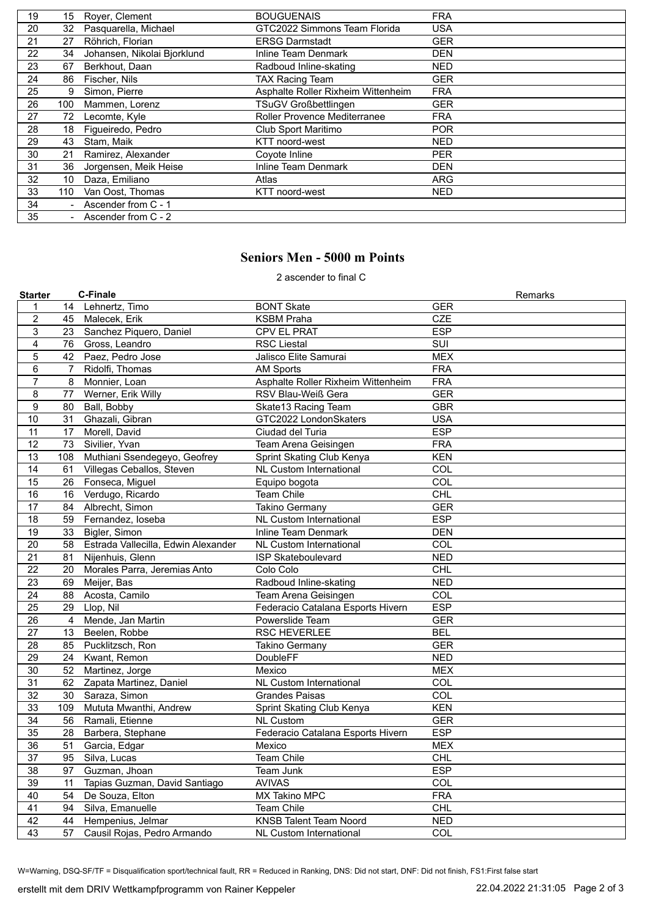| 19 | 15  | Royer, Clement              | <b>BOUGUENAIS</b>                  | <b>FRA</b> |
|----|-----|-----------------------------|------------------------------------|------------|
| 20 | 32  | Pasquarella, Michael        | GTC2022 Simmons Team Florida       | <b>USA</b> |
| 21 | 27  | Röhrich, Florian            | <b>ERSG Darmstadt</b>              | <b>GER</b> |
| 22 | 34  | Johansen, Nikolai Bjorklund | Inline Team Denmark                | <b>DEN</b> |
| 23 | 67  | Berkhout, Daan              | Radboud Inline-skating             | <b>NED</b> |
| 24 | 86  | Fischer, Nils               | <b>TAX Racing Team</b>             | <b>GER</b> |
| 25 | 9   | Simon, Pierre               | Asphalte Roller Rixheim Wittenheim | <b>FRA</b> |
| 26 | 100 | Mammen, Lorenz              | <b>TSuGV Großbettlingen</b>        | <b>GER</b> |
| 27 | 72  | Lecomte, Kyle               | Roller Provence Mediterranee       | <b>FRA</b> |
| 28 | 18  | Figueiredo, Pedro           | Club Sport Maritimo                | <b>POR</b> |
| 29 | 43  | Stam, Maik                  | KTT noord-west                     | <b>NED</b> |
| 30 | 21  | Ramirez, Alexander          | Coyote Inline                      | <b>PER</b> |
| 31 | 36  | Jorgensen, Meik Heise       | Inline Team Denmark                | <b>DEN</b> |
| 32 | 10  | Daza, Emiliano              | Atlas                              | ARG        |
| 33 | 110 | Van Oost, Thomas            | KTT noord-west                     | NED.       |
| 34 |     | Ascender from C - 1         |                                    |            |
| 35 |     | - Ascender from C - 2       |                                    |            |

## **Seniors Men - 5000 m Points**

2 ascender to final C

| <b>Starter</b>   |                | <b>C-Finale</b>                     |                                    | Remarks    |
|------------------|----------------|-------------------------------------|------------------------------------|------------|
| $\mathbf{1}$     |                | 14 Lehnertz, Timo                   | <b>BONT Skate</b>                  | <b>GER</b> |
| $\overline{c}$   | 45             | Malecek, Erik                       | <b>KSBM Praha</b>                  | CZE        |
| 3                | 23             | Sanchez Piquero, Daniel             | CPV EL PRAT                        | <b>ESP</b> |
| $\overline{4}$   | 76             | Gross, Leandro                      | <b>RSC Liestal</b>                 | SUI        |
| 5                | 42             | Paez, Pedro Jose                    | Jalisco Elite Samurai              | <b>MEX</b> |
| $\,6$            | $\overline{7}$ | Ridolfi, Thomas                     | <b>AM Sports</b>                   | <b>FRA</b> |
| $\overline{7}$   | 8              | Monnier, Loan                       | Asphalte Roller Rixheim Wittenheim | <b>FRA</b> |
| 8                | 77             | Werner, Erik Willy                  | RSV Blau-Weiß Gera                 | <b>GER</b> |
| $\boldsymbol{9}$ | 80             | Ball, Bobby                         | Skate13 Racing Team                | <b>GBR</b> |
| 10               | 31             | Ghazali, Gibran                     | GTC2022 LondonSkaters              | <b>USA</b> |
| $\overline{11}$  | 17             | Morell, David                       | Ciudad del Turia                   | <b>ESP</b> |
| $\overline{12}$  | 73             | Sivilier, Yvan                      | Team Arena Geisingen               | <b>FRA</b> |
| 13               | 108            | Muthiani Ssendegeyo, Geofrey        | Sprint Skating Club Kenya          | <b>KEN</b> |
| $\overline{14}$  | 61             | Villegas Ceballos, Steven           | <b>NL Custom International</b>     | COL        |
| $\overline{15}$  | 26             | Fonseca, Miguel                     | Equipo bogota                      | COL        |
| 16               | 16             | Verdugo, Ricardo                    | Team Chile                         | <b>CHL</b> |
| 17               | 84             | Albrecht, Simon                     | <b>Takino Germany</b>              | <b>GER</b> |
| $\overline{18}$  | 59             | Fernandez, loseba                   | <b>NL Custom International</b>     | <b>ESP</b> |
| 19               | 33             | Bigler, Simon                       | Inline Team Denmark                | <b>DEN</b> |
| $\overline{20}$  | 58             | Estrada Vallecilla, Edwin Alexander | NL Custom International            | COL        |
| $\overline{21}$  | 81             | Nijenhuis, Glenn                    | <b>ISP Skateboulevard</b>          | <b>NED</b> |
| 22               | 20             | Morales Parra, Jeremias Anto        | Colo Colo                          | <b>CHL</b> |
| 23               | 69             | Meijer, Bas                         | Radboud Inline-skating             | <b>NED</b> |
| $\overline{24}$  | 88             | Acosta, Camilo                      | Team Arena Geisingen               | COL        |
| 25               | 29             | Llop, Nil                           | Federacio Catalana Esports Hivern  | <b>ESP</b> |
| 26               | 4              | Mende, Jan Martin                   | Powerslide Team                    | <b>GER</b> |
| $\overline{27}$  | 13             | Beelen, Robbe                       | <b>RSC HEVERLEE</b>                | <b>BEL</b> |
| 28               | 85             | Pucklitzsch, Ron                    | Takino Germany                     | <b>GER</b> |
| 29               | 24             | Kwant, Remon                        | DoubleFF                           | <b>NED</b> |
| 30               | 52             | Martinez, Jorge                     | Mexico                             | <b>MEX</b> |
| 31               | 62             | Zapata Martinez, Daniel             | NL Custom International            | COL        |
| 32               | 30             | Saraza, Simon                       | <b>Grandes Paisas</b>              | <b>COL</b> |
| 33               | 109            | Mututa Mwanthi, Andrew              | Sprint Skating Club Kenya          | <b>KEN</b> |
| 34               | 56             | Ramali, Etienne                     | <b>NL Custom</b>                   | <b>GER</b> |
| 35               | 28             | Barbera, Stephane                   | Federacio Catalana Esports Hivern  | <b>ESP</b> |
| 36               | 51             | Garcia, Edgar                       | Mexico                             | <b>MEX</b> |
| 37               | 95             | Silva, Lucas                        | <b>Team Chile</b>                  | <b>CHL</b> |
| 38               | 97             | Guzman, Jhoan                       | Team Junk                          | <b>ESP</b> |
| 39               | 11             | Tapias Guzman, David Santiago       | <b>AVIVAS</b>                      | COL        |
| 40               | 54             | De Souza, Elton                     | <b>MX Takino MPC</b>               | <b>FRA</b> |
| 41               | 94             | Silva, Emanuelle                    | <b>Team Chile</b>                  | CHL        |
| $\overline{42}$  | 44             | Hempenius, Jelmar                   | <b>KNSB Talent Team Noord</b>      | <b>NED</b> |
| 43               | 57             | Causil Rojas, Pedro Armando         | <b>NL Custom International</b>     | COL        |

W=Warning, DSQ-SF/TF = Disqualification sport/technical fault, RR = Reduced in Ranking, DNS: Did not start, DNF: Did not finish, FS1:First false start